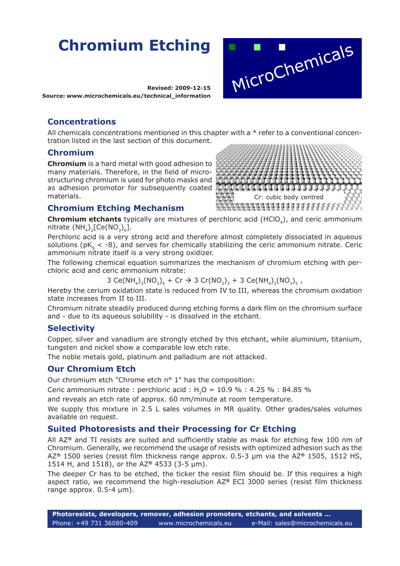# **Chromium Etching**

**Revised: 2009-12-15 Source: www.microchemicals.eu/technical\_information**

## **Concentrations**

All chemicals concentrations mentioned in this chapter with a  $*$  refer to a conventional concentration listed in the last section of this document.

#### **Chromium**

**Chromium** is a hard metal with good adhesion to many materials. Therefore, in the field of microstructuring chromium is used for photo masks and as adhesion promotor for subsequently coated materials.

#### **Chromium Etching Mechanism**



MicroChemicals

**Chromium etchants** typically are mixtures of perchloric acid (HClO<sub>4</sub>), and ceric ammonium nitrate  $(NH_4)$ <sub>2</sub>[Ce(NO<sub>3</sub>)<sub>6</sub>].

Perchloric acid is a very strong acid and therefore almost completely dissociated in aqueous solutions ( $pK<sub>s</sub> < -8$ ), and serves for chemically stabilizing the ceric ammonium nitrate. Ceric ammonium nitrate itself is a very strong oxidizer.

The following chemical equation summarizes the mechanism of chromium etching with perchloric acid and ceric ammonium nitrate:

3 Ce(NH<sub>4</sub>)<sub>2</sub>(NO<sub>3</sub>)<sub>6</sub> + Cr  $\rightarrow$  3 Cr(NO<sub>3</sub>)<sub>3</sub> + 3 Ce(NH<sub>4</sub>)<sub>2</sub>(NO<sub>3</sub>)<sub>5</sub>,

Hereby the cerium oxidation state is reduced from IV to III, whereas the chromium oxidation state increases from II to III.

Chromium nitrate steadily produced during etching forms a dark film on the chromium surface and - due to its aqueous solubility - is dissolved in the etchant.

#### **Selectivity**

Copper, silver and vanadium are strongly etched by this etchant, while aluminium, titanium, tungsten and nickel show a comparable low etch rate.

The noble metals gold, platinum and palladium are not attacked.

#### **Our Chromium Etch**

Our chromium etch "Chrome etch n° 1" has the composition:

Ceric ammonium nitrate : perchloric acid : H<sub>2</sub>O =  $10.9$  % : 4.25 % : 84.85 %

and reveals an etch rate of approx. 60 nm/minute at room temperature.

We supply this mixture in 2.5 L sales volumes in MR quality. Other grades/sales volumes available on request.

#### **Suited Photoresists and their Processing for Cr Etching**

All AZ**®** and TI resists are suited and sufficiently stable as mask for etching few 100 nm of Chromium. Generally, we recommend the usage of resists with optimized adhesion such as the AZ**®** 1500 series (resist film thickness range approx. 0.5-3 µm via the AZ**®** 1505, 1512 HS, 1514 H, and 1518), or the AZ**®** 4533 (3-5 µm).

The deeper Cr has to be etched, the ticker the resist film should be. If this requires a high aspect ratio, we recommend the high-resolution AZ**®** ECI 3000 series (resist film thickness range approx. 0.5-4  $\mu$ m).